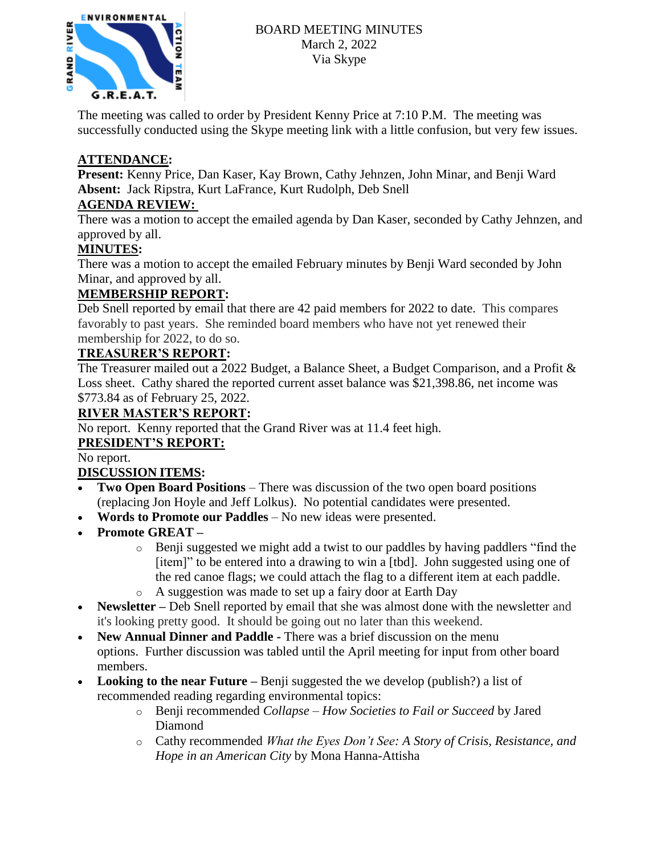

The meeting was called to order by President Kenny Price at 7:10 P.M. The meeting was successfully conducted using the Skype meeting link with a little confusion, but very few issues.

# **ATTENDANCE:**

**Present:** Kenny Price, Dan Kaser, Kay Brown, Cathy Jehnzen, John Minar, and Benji Ward **Absent:** Jack Ripstra, Kurt LaFrance, Kurt Rudolph, Deb Snell

## **AGENDA REVIEW:**

There was a motion to accept the emailed agenda by Dan Kaser, seconded by Cathy Jehnzen, and approved by all.

## **MINUTES:**

There was a motion to accept the emailed February minutes by Benji Ward seconded by John Minar, and approved by all.

## **MEMBERSHIP REPORT:**

Deb Snell reported by email that there are 42 paid members for 2022 to date. This compares favorably to past years. She reminded board members who have not yet renewed their membership for 2022, to do so.

## **TREASURER'S REPORT:**

The Treasurer mailed out a 2022 Budget, a Balance Sheet, a Budget Comparison, and a Profit & Loss sheet. Cathy shared the reported current asset balance was \$21,398.86, net income was \$773.84 as of February 25, 2022.

### **RIVER MASTER'S REPORT:**

No report. Kenny reported that the Grand River was at 11.4 feet high.

## **PRESIDENT'S REPORT:**

No report.

## **DISCUSSION ITEMS:**

- **Two Open Board Positions** There was discussion of the two open board positions (replacing Jon Hoyle and Jeff Lolkus). No potential candidates were presented.
- **Words to Promote our Paddles** No new ideas were presented.
- **Promote GREAT –**
	- o Benji suggested we might add a twist to our paddles by having paddlers "find the [item]" to be entered into a drawing to win a [tbd]. John suggested using one of the red canoe flags; we could attach the flag to a different item at each paddle.
	- o A suggestion was made to set up a fairy door at Earth Day
- **Newsletter –** Deb Snell reported by email that she was almost done with the newsletter and it's looking pretty good. It should be going out no later than this weekend.
- **New Annual Dinner and Paddle -** There was a brief discussion on the menu options. Further discussion was tabled until the April meeting for input from other board members.
- **Looking to the near Future –** Benji suggested the we develop (publish?) a list of recommended reading regarding environmental topics:
	- o Benji recommended *Collapse – How Societies to Fail or Succeed* by Jared Diamond
	- o Cathy recommended *What the Eyes Don't See: A Story of Crisis, Resistance, and Hope in an American City* by Mona Hanna-Attisha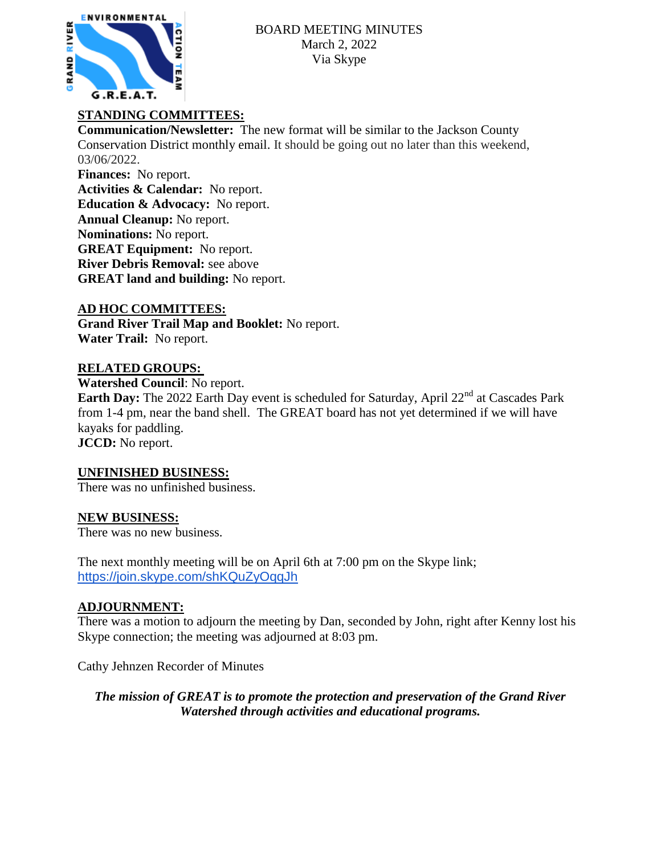

# **STANDING COMMITTEES:**

**Communication/Newsletter:** The new format will be similar to the Jackson County Conservation District monthly email. It should be going out no later than this weekend, 03/06/2022.

**Finances:** No report. **Activities & Calendar:** No report. **Education & Advocacy:** No report. **Annual Cleanup:** No report. **Nominations:** No report. **GREAT Equipment:** No report. **River Debris Removal:** see above **GREAT land and building:** No report.

## **AD HOC COMMITTEES:**

**Grand River Trail Map and Booklet:** No report. **Water Trail:** No report.

### **RELATED GROUPS:**

**Watershed Council**: No report.

**Earth Day:** The 2022 Earth Day event is scheduled for Saturday, April 22<sup>nd</sup> at Cascades Park from 1-4 pm, near the band shell. The GREAT board has not yet determined if we will have kayaks for paddling. **JCCD:** No report.

## **UNFINISHED BUSINESS:**

There was no unfinished business.

#### **NEW BUSINESS:**

There was no new business.

The next monthly meeting will be on April 6th at 7:00 pm on the Skype link; <https://join.skype.com/shKQuZyOqqJh>

#### **ADJOURNMENT:**

There was a motion to adjourn the meeting by Dan, seconded by John, right after Kenny lost his Skype connection; the meeting was adjourned at 8:03 pm.

Cathy Jehnzen Recorder of Minutes

*The mission of GREAT is to promote the protection and preservation of the Grand River Watershed through activities and educational programs.*